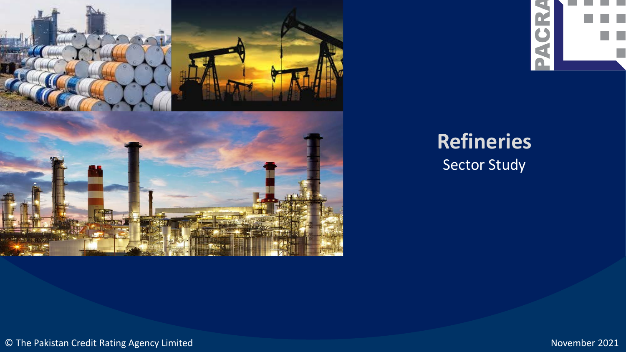



# **Refineries**  Sector Study

© The Pakistan Credit Rating Agency Limited November 2021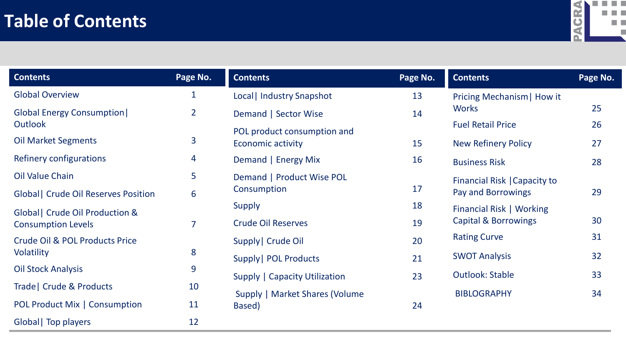## **Table of Contents**



| <b>Contents</b>                           | Page No.       | <b>Contents</b>                      | Page No. | <b>Contents</b>                 | Page No. |
|-------------------------------------------|----------------|--------------------------------------|----------|---------------------------------|----------|
| <b>Global Overview</b>                    | 1              | Local   Industry Snapshot            | 13       | Pricing Mechanism   How it      |          |
| <b>Global Energy Consumption</b>          | $\overline{2}$ | Demand   Sector Wise                 | 14       | <b>Works</b>                    | 25       |
| <b>Outlook</b>                            |                | POL product consumption and          |          | <b>Fuel Retail Price</b>        | 26       |
| <b>Oil Market Segments</b>                | 3              | <b>Economic activity</b>             | 15       | <b>New Refinery Policy</b>      | 27       |
| Refinery configurations                   | 4              | Demand   Energy Mix                  | 16       | <b>Business Risk</b>            | 28       |
| <b>Oil Value Chain</b>                    | 5              | Demand   Product Wise POL            |          | Financial Risk   Capacity to    |          |
| <b>Global</b> Crude Oil Reserves Position | 6              | Consumption                          | 17       | Pay and Borrowings              | 29       |
| Global   Crude Oil Production &           |                | Supply                               | 18       | Financial Risk   Working        |          |
| <b>Consumption Levels</b>                 | $\overline{7}$ | <b>Crude Oil Reserves</b>            | 19       | <b>Capital &amp; Borrowings</b> | 30       |
| <b>Crude Oil &amp; POL Products Price</b> |                | Supply   Crude Oil                   | 20       | <b>Rating Curve</b>             | 31       |
| Volatility                                | 8              | Supply   POL Products                | 21       | <b>SWOT Analysis</b>            | 32       |
| <b>Oil Stock Analysis</b>                 | 9              | <b>Supply   Capacity Utilization</b> | 23       | <b>Outlook: Stable</b>          | 33       |
| Trade   Crude & Products                  | 10             | Supply   Market Shares (Volume       |          | <b>BIBLOGRAPHY</b>              | 34       |
| <b>POL Product Mix   Consumption</b>      | 11             | Based)                               | 24       |                                 |          |
| Global   Top players                      | 12             |                                      |          |                                 |          |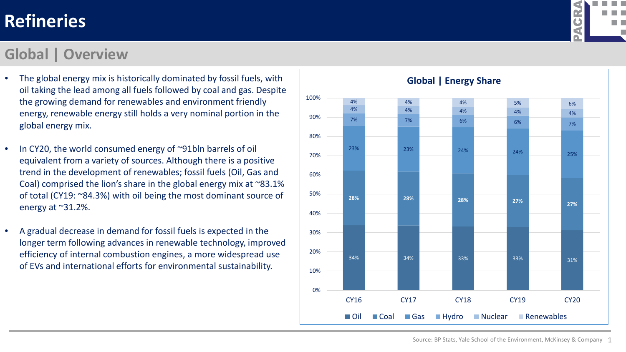#### **Global | Overview**

- The global energy mix is historically dominated by fossil fuels, with oil taking the lead among all fuels followed by coal and gas. Despite the growing demand for renewables and environment friendly energy, renewable energy still holds a very nominal portion in the global energy mix.
- In CY20, the world consumed energy of ~91bln barrels of oil equivalent from a variety of sources. Although there is a positive trend in the development of renewables; fossil fuels (Oil, Gas and Coal) comprised the lion's share in the global energy mix at ~83.1% of total (CY19: ~84.3%) with oil being the most dominant source of energy at ~31.2%.
- A gradual decrease in demand for fossil fuels is expected in the longer term following advances in renewable technology, improved efficiency of internal combustion engines, a more widespread use of EVs and international efforts for environmental sustainability.



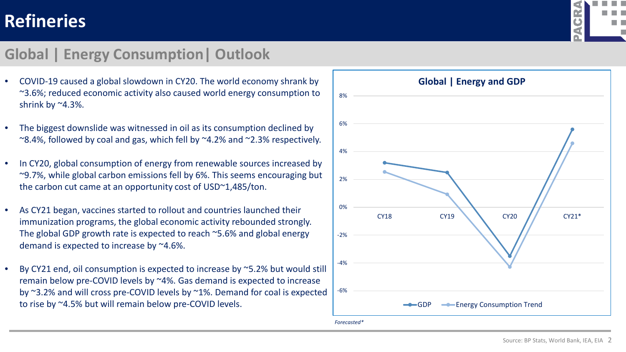#### **Global | Energy Consumption| Outlook**

- COVID-19 caused a global slowdown in CY20. The world economy shrank by ~3.6%; reduced economic activity also caused world energy consumption to shrink by  $^{\sim}4.3\%$ .
- The biggest downslide was witnessed in oil as its consumption declined by  $\sim$ 8.4%, followed by coal and gas, which fell by  $\sim$ 4.2% and  $\sim$ 2.3% respectively.
- In CY20, global consumption of energy from renewable sources increased by ~9.7%, while global carbon emissions fell by 6%. This seems encouraging but the carbon cut came at an opportunity cost of USD~1,485/ton.
- As CY21 began, vaccines started to rollout and countries launched their immunization programs, the global economic activity rebounded strongly. The global GDP growth rate is expected to reach ~5.6% and global energy demand is expected to increase by ~4.6%.
- By CY21 end, oil consumption is expected to increase by ~5.2% but would still remain below pre-COVID levels by ~4%. Gas demand is expected to increase by ~3.2% and will cross pre-COVID levels by ~1%. Demand for coal is expected to rise by ~4.5% but will remain below pre-COVID levels.



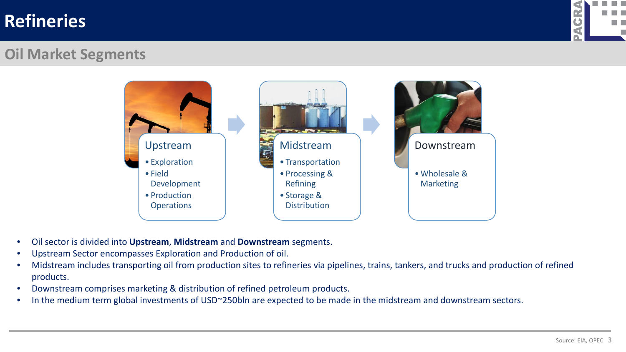

#### **Oil Market Segments**



- Oil sector is divided into **Upstream**, **Midstream** and **Downstream** segments.
- Upstream Sector encompasses Exploration and Production of oil.
- Midstream includes transporting oil from production sites to refineries via pipelines, trains, tankers, and trucks and production of refined products.
- Downstream comprises marketing & distribution of refined petroleum products.
- In the medium term global investments of USD~250bln are expected to be made in the midstream and downstream sectors.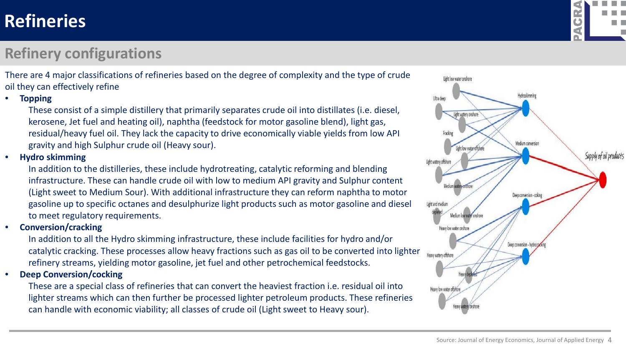## **Refinery configurations**

There are 4 major classifications of refineries based on the degree of complexity and the type of crude oil they can effectively refine

• **Topping** 

These consist of a simple distillery that primarily separates crude oil into distillates (i.e. diesel, kerosene, Jet fuel and heating oil), naphtha (feedstock for motor gasoline blend), light gas, residual/heavy fuel oil. They lack the capacity to drive economically viable yields from low API gravity and high Sulphur crude oil (Heavy sour).

#### • **Hydro skimming**

In addition to the distilleries, these include hydrotreating, catalytic reforming and blending infrastructure. These can handle crude oil with low to medium API gravity and Sulphur content (Light sweet to Medium Sour). With additional infrastructure they can reform naphtha to motor gasoline up to specific octanes and desulphurize light products such as motor gasoline and diesel to meet regulatory requirements.

#### • **Conversion/cracking**

In addition to all the Hydro skimming infrastructure, these include facilities for hydro and/or catalytic cracking. These processes allow heavy fractions such as gas oil to be converted into lighter refinery streams, yielding motor gasoline, jet fuel and other petrochemical feedstocks.

• **Deep Conversion/cocking**

These are a special class of refineries that can convert the heaviest fraction i.e. residual oil into lighter streams which can then further be processed lighter petroleum products. These refineries can handle with economic viability; all classes of crude oil (Light sweet to Heavy sour).



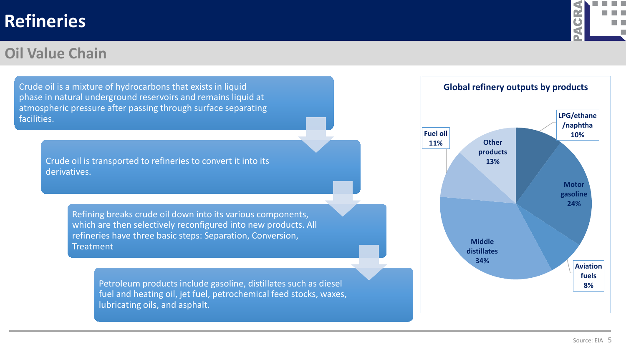#### **Oil Value Chain**



Crude oil is a mixture of hydrocarbons that exists in liquid phase in natural underground reservoirs and remains liquid at atmospheric pressure after passing through surface separating facilities. Crude oil is transported to refineries to convert it into its derivatives. Refining breaks crude oil down into its various components, which are then selectively reconfigured into new products. All refineries have three basic steps: Separation, Conversion, **Treatment** Petroleum products include gasoline, distillates such as diesel fuel and heating oil, jet fuel, petrochemical feed stocks, waxes, lubricating oils, and asphalt.

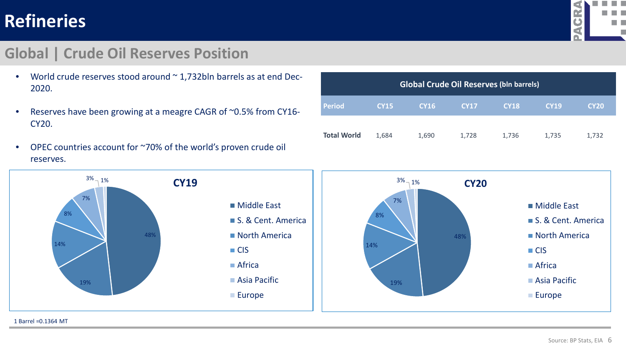#### **Alberta College** q **GR** m m EL EL đ Г

#### **Global | Crude Oil Reserves Position**

- World crude reserves stood around  $\sim$  1,732bln barrels as at end Dec-2020.
- Reserves have been growing at a meagre CAGR of ~0.5% from CY16- CY20.
- OPEC countries account for ~70% of the world's proven crude oil reserves.



| <b>Global Crude Oil Reserves (bln barrels)</b> |             |             |             |             |             |             |  |  |
|------------------------------------------------|-------------|-------------|-------------|-------------|-------------|-------------|--|--|
| <b>Period</b>                                  | <b>CY15</b> | <b>CY16</b> | <b>CY17</b> | <b>CY18</b> | <b>CY19</b> | <b>CY20</b> |  |  |
| <b>Total World</b>                             | 1,684       | 1,690       | 1,728       | 1,736       | 1,735       | 1,732       |  |  |

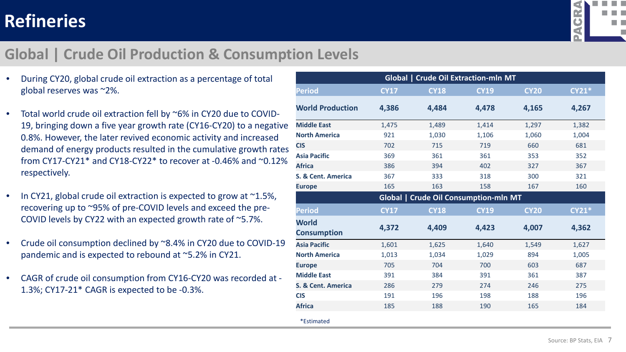

#### **Global | Crude Oil Production & Consumption Levels**

- During CY20, global crude oil extraction as a percentage of total global reserves was ~2%.
- Total world crude oil extraction fell by ~6% in CY20 due to COVID-19, bringing down a five year growth rate (CY16-CY20) to a negative 0.8%. However, the later revived economic activity and increased demand of energy products resulted in the cumulative growth rates from CY17-CY21\* and CY18-CY22\* to recover at -0.46% and ~0.12% respectively.
- In CY21, global crude oil extraction is expected to grow at  $\sim$ 1.5%, recovering up to ~95% of pre-COVID levels and exceed the pre-COVID levels by CY22 with an expected growth rate of ~5.7%.
- Crude oil consumption declined by ~8.4% in CY20 due to COVID-19 pandemic and is expected to rebound at ~5.2% in CY21.
- CAGR of crude oil consumption from CY16-CY20 was recorded at 1.3%; CY17-21\* CAGR is expected to be -0.3%.

| Global   Crude Oil Extraction-mln MT         |             |             |             |             |         |  |  |  |  |
|----------------------------------------------|-------------|-------------|-------------|-------------|---------|--|--|--|--|
| <b>Period</b>                                | <b>CY17</b> | <b>CY18</b> | <b>CY19</b> | <b>CY20</b> | $CY21*$ |  |  |  |  |
| <b>World Production</b>                      | 4,386       | 4,484       | 4,478       | 4,165       | 4,267   |  |  |  |  |
| <b>Middle East</b>                           | 1,475       | 1,489       | 1,414       | 1,297       | 1,382   |  |  |  |  |
| <b>North America</b>                         | 921         | 1,030       | 1,106       | 1,060       | 1,004   |  |  |  |  |
| <b>CIS</b>                                   | 702         | 715         | 719         | 660         | 681     |  |  |  |  |
| <b>Asia Pacific</b>                          | 369         | 361         | 361         | 353         | 352     |  |  |  |  |
| <b>Africa</b>                                | 386         | 394         | 402         | 327         | 367     |  |  |  |  |
| S. & Cent. America                           | 367         | 333         | 318         | 300         | 321     |  |  |  |  |
| <b>Europe</b>                                | 165         | 163         | 158         | 167         | 160     |  |  |  |  |
| <b>Global   Crude Oil Consumption-mln MT</b> |             |             |             |             |         |  |  |  |  |
| <b>Period</b>                                | <b>CY17</b> | <b>CY18</b> | <b>CY19</b> | <b>CY20</b> | $CY21*$ |  |  |  |  |
| <b>World</b><br><b>Consumption</b>           | 4,372       | 4,409       | 4,423       | 4,007       | 4,362   |  |  |  |  |
| <b>Asia Pacific</b>                          | 1,601       | 1,625       | 1,640       | 1,549       | 1,627   |  |  |  |  |
| <b>North America</b>                         | 1,013       | 1,034       | 1,029       | 894         | 1,005   |  |  |  |  |
| <b>Europe</b>                                | 705         | 704         | 700         | 603         | 687     |  |  |  |  |
| <b>Middle East</b>                           | 391         | 384         | 391         | 361         | 387     |  |  |  |  |
| S. & Cent. America                           | 286         | 279         | 274         | 246         | 275     |  |  |  |  |
| <b>CIS</b>                                   | 191         | 196         | 198         | 188         | 196     |  |  |  |  |
| <b>Africa</b>                                | 185         | 188         | 190         | 165         | 184     |  |  |  |  |
| *Estimated                                   |             |             |             |             |         |  |  |  |  |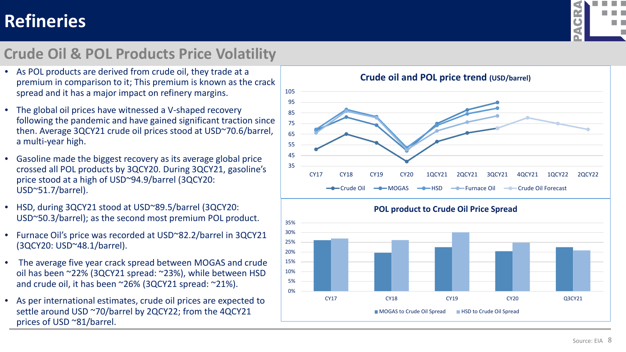

### **Crude Oil & POL Products Price Volatility**

- As POL products are derived from crude oil, they trade at a premium in comparison to it; This premium is known as the crack spread and it has a major impact on refinery margins.
- The global oil prices have witnessed a V-shaped recovery following the pandemic and have gained significant traction since then. Average 3QCY21 crude oil prices stood at USD~70.6/barrel, a multi-year high.
- Gasoline made the biggest recovery as its average global price crossed all POL products by 3QCY20. During 3QCY21, gasoline's price stood at a high of USD~94.9/barrel (3QCY20: USD~51.7/barrel).
- HSD, during 3QCY21 stood at USD~89.5/barrel (3QCY20: USD~50.3/barrel); as the second most premium POL product.
- Furnace Oil's price was recorded at USD~82.2/barrel in 3QCY21 (3QCY20: USD~48.1/barrel).
- The average five year crack spread between MOGAS and crude oil has been ~22% (3QCY21 spread: ~23%), while between HSD and crude oil, it has been ~26% (3QCY21 spread: ~21%).
- As per international estimates, crude oil prices are expected to settle around USD ~70/barrel by 2QCY22; from the 4QCY21 prices of USD ~81/barrel.

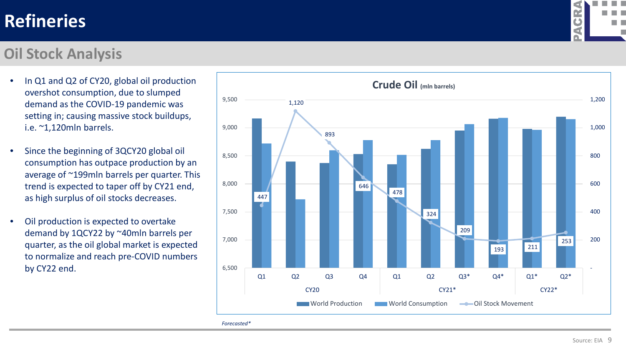#### **Oil Stock Analysis**

- In Q1 and Q2 of CY20, global oil production overshot consumption, due to slumped demand as the COVID-19 pandemic was setting in; causing massive stock buildups, i.e. ~1,120mln barrels.
- Since the beginning of 3QCY20 global oil consumption has outpace production by an average of ~199mln barrels per quarter. This trend is expected to taper off by CY21 end, as high surplus of oil stocks decreases.
- Oil production is expected to overtake demand by 1QCY22 by ~40mln barrels per quarter, as the oil global market is expected to normalize and reach pre-COVID numbers by CY22 end.



*Forecasted\**

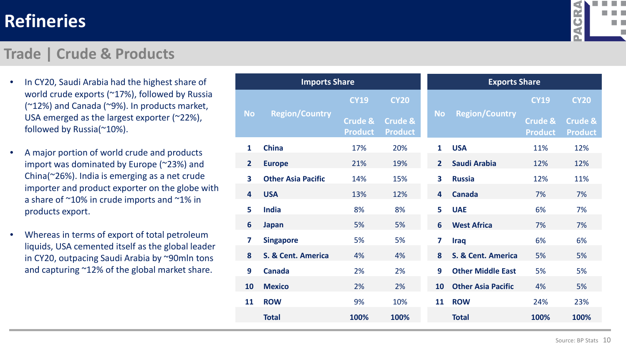

#### **Trade | Crude & Products**

- In CY20, Saudi Arabia had the highest share of world crude exports (~17%), followed by Russia (~12%) and Canada (~9%). In products market, USA emerged as the largest exporter (~22%), followed by Russia(~10%).
- A major portion of world crude and products import was dominated by Europe (~23%) and China(~26%). India is emerging as a net crude importer and product exporter on the globe with a share of ~10% in crude imports and ~1% in products export.
- Whereas in terms of export of total petroleum liquids, USA cemented itself as the global leader in CY20, outpacing Saudi Arabia by ~90mln tons and capturing ~12% of the global market share.

| <b>Imports Share</b>    |                           |                                      |                                      | <b>Exports Share</b>    |                           |                                      |                                      |  |
|-------------------------|---------------------------|--------------------------------------|--------------------------------------|-------------------------|---------------------------|--------------------------------------|--------------------------------------|--|
|                         |                           | <b>CY19</b>                          | <b>CY20</b>                          |                         |                           | <b>CY19</b>                          | <b>CY20</b>                          |  |
| <b>No</b>               | <b>Region/Country</b>     | <b>Crude &amp;</b><br><b>Product</b> | <b>Crude &amp;</b><br><b>Product</b> | <b>No</b>               | <b>Region/Country</b>     | <b>Crude &amp;</b><br><b>Product</b> | <b>Crude &amp;</b><br><b>Product</b> |  |
| $\mathbf{1}$            | <b>China</b>              | 17%                                  | 20%                                  | $\mathbf{1}$            | <b>USA</b>                | 11%                                  | 12%                                  |  |
| $\overline{2}$          | <b>Europe</b>             | 21%                                  | 19%                                  | 2 <sup>1</sup>          | <b>Saudi Arabia</b>       | 12%                                  | 12%                                  |  |
| $\overline{\mathbf{3}}$ | <b>Other Asia Pacific</b> | 14%                                  | 15%                                  | $\overline{\mathbf{3}}$ | <b>Russia</b>             | 12%                                  | 11%                                  |  |
| 4                       | <b>USA</b>                | 13%                                  | 12%                                  | 4                       | <b>Canada</b>             | 7%                                   | 7%                                   |  |
| 5                       | <b>India</b>              | 8%                                   | 8%                                   | 5                       | <b>UAE</b>                | 6%                                   | 7%                                   |  |
| 6                       | <b>Japan</b>              | 5%                                   | 5%                                   | 6                       | <b>West Africa</b>        | 7%                                   | 7%                                   |  |
| 7                       | <b>Singapore</b>          | 5%                                   | 5%                                   | 7                       | Iraq                      | 6%                                   | 6%                                   |  |
| 8                       | S. & Cent. America        | 4%                                   | 4%                                   | 8                       | S. & Cent. America        | 5%                                   | 5%                                   |  |
| 9                       | <b>Canada</b>             | 2%                                   | 2%                                   | 9                       | <b>Other Middle East</b>  | 5%                                   | 5%                                   |  |
| 10                      | <b>Mexico</b>             | 2%                                   | 2%                                   | 10                      | <b>Other Asia Pacific</b> | 4%                                   | 5%                                   |  |
| 11                      | <b>ROW</b>                | 9%                                   | 10%                                  | 11                      | <b>ROW</b>                | 24%                                  | 23%                                  |  |
|                         | <b>Total</b>              | 100%                                 | 100%                                 |                         | <b>Total</b>              | 100%                                 | 100%                                 |  |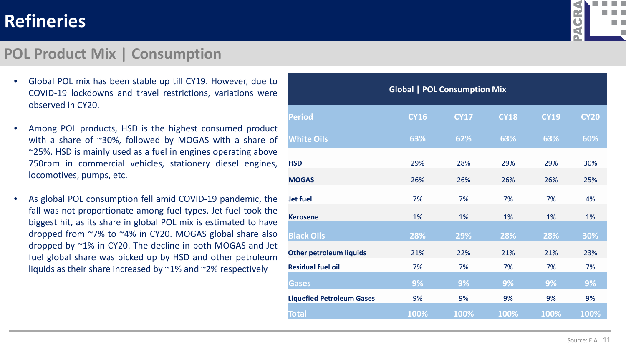#### **POL Product Mix | Consumption**



- Global POL mix has been stable up till CY19. However, due to COVID-19 lockdowns and travel restrictions, variations were observed in CY20.
- Among POL products, HSD is the highest consumed product with a share of ~30%, followed by MOGAS with a share of ~25%. HSD is mainly used as a fuel in engines operating above 750rpm in commercial vehicles, stationery diesel engines, locomotives, pumps, etc.
- As global POL consumption fell amid COVID-19 pandemic, the fall was not proportionate among fuel types. Jet fuel took the biggest hit, as its share in global POL mix is estimated to have dropped from ~7% to ~4% in CY20. MOGAS global share also dropped by ~1% in CY20. The decline in both MOGAS and Jet fuel global share was picked up by HSD and other petroleum liquids as their share increased by ~1% and ~2% respectively

| <b>Global   POL Consumption Mix</b> |             |             |             |             |             |  |  |  |  |
|-------------------------------------|-------------|-------------|-------------|-------------|-------------|--|--|--|--|
| <b>Period</b>                       | <b>CY16</b> | <b>CY17</b> | <b>CY18</b> | <b>CY19</b> | <b>CY20</b> |  |  |  |  |
| <b>White Oils</b>                   | 63%         | 62%         | 63%         | 63%         | 60%         |  |  |  |  |
| <b>HSD</b>                          | 29%         | 28%         | 29%         | 29%         | 30%         |  |  |  |  |
| <b>MOGAS</b>                        | 26%         | 26%         | 26%         | 26%         | 25%         |  |  |  |  |
| <b>Jet fuel</b>                     | 7%          | 7%          | 7%          | 7%          | 4%          |  |  |  |  |
| <b>Kerosene</b>                     | 1%          | 1%          | 1%          | 1%          | 1%          |  |  |  |  |
| <b>Black Oils</b>                   | 28%         | 29%         | 28%         | 28%         | 30%         |  |  |  |  |
| <b>Other petroleum liquids</b>      | 21%         | 22%         | 21%         | 21%         | 23%         |  |  |  |  |
| <b>Residual fuel oil</b>            | 7%          | 7%          | 7%          | 7%          | 7%          |  |  |  |  |
| <b>Gases</b>                        | 9%          | 9%          | 9%          | 9%          | 9%          |  |  |  |  |
| <b>Liquefied Petroleum Gases</b>    | 9%          | 9%          | 9%          | 9%          | 9%          |  |  |  |  |
| <b>Total</b>                        | 100%        | 100%        | 100%        | 100%        | 100%        |  |  |  |  |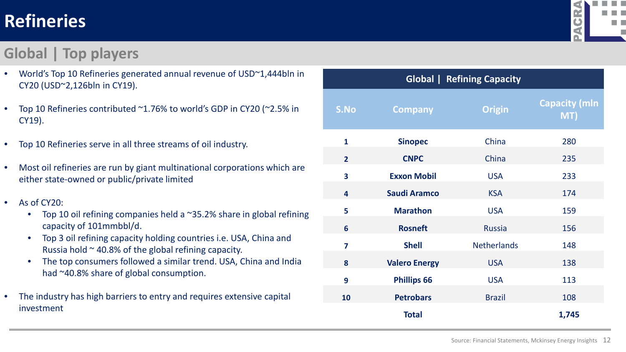# **REFINERIES| Refineries TOP PLAYERS**

## **Global | Top players**

a ka an in

- World's Top 10 Refineries generated annual revenue of USD~1,444bln in CY20 (USD~2,126bln in CY19).
- Top 10 Refineries contributed ~1.76% to world's GDP in CY20 (~2.5% in CY19).
- Top 10 Refineries serve in all three streams of oil industry.
- Most oil refineries are run by giant multinational corporations which are either state-owned or public/private limited
- As of CY20:
	- Top 10 oil refining companies held a ~35.2% share in global refining capacity of 101mmbbl/d.
	- Top 3 oil refining capacity holding countries i.e. USA, China and Russia hold  $\sim$  40.8% of the global refining capacity.
	- The top consumers followed a similar trend. USA, China and India had ~40.8% share of global consumption.
- The industry has high barriers to entry and requires extensive capital investment

| <b>Global   Refining Capacity</b> |                      |                    |                             |  |  |  |  |  |
|-----------------------------------|----------------------|--------------------|-----------------------------|--|--|--|--|--|
| S.No                              | <b>Company</b>       | <b>Origin</b>      | <b>Capacity (mln</b><br>MT) |  |  |  |  |  |
| $\mathbf{1}$                      | <b>Sinopec</b>       | China              | 280                         |  |  |  |  |  |
| $\overline{2}$                    | <b>CNPC</b>          | China              | 235                         |  |  |  |  |  |
| 3                                 | <b>Exxon Mobil</b>   | <b>USA</b>         | 233                         |  |  |  |  |  |
| $\overline{\mathbf{4}}$           | <b>Saudi Aramco</b>  | <b>KSA</b>         | 174                         |  |  |  |  |  |
| 5                                 | <b>Marathon</b>      | <b>USA</b>         | 159                         |  |  |  |  |  |
| 6                                 | <b>Rosneft</b>       | <b>Russia</b>      | 156                         |  |  |  |  |  |
| $\overline{\mathbf{z}}$           | <b>Shell</b>         | <b>Netherlands</b> | 148                         |  |  |  |  |  |
| 8                                 | <b>Valero Energy</b> | <b>USA</b>         | 138                         |  |  |  |  |  |
| 9                                 | <b>Phillips 66</b>   | <b>USA</b>         | 113                         |  |  |  |  |  |
| 10                                | <b>Petrobars</b>     | <b>Brazil</b>      | 108                         |  |  |  |  |  |
|                                   | <b>Total</b>         |                    | 1,745                       |  |  |  |  |  |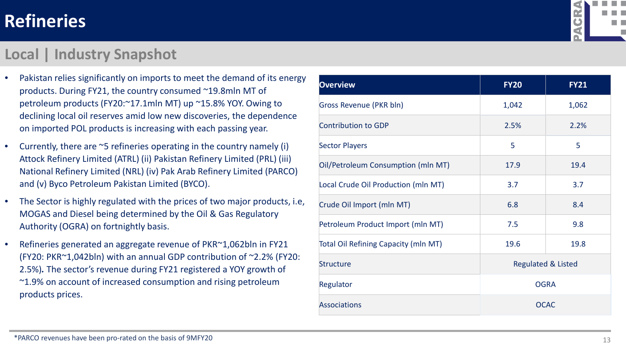

#### **Local | Industry Snapshot**

- Pakistan relies significantly on imports to meet the demand of its energy products. During FY21, the country consumed ~19.8mln MT of petroleum products (FY20:~17.1mln MT) up ~15.8% YOY. Owing to declining local oil reserves amid low new discoveries, the dependence on imported POL products is increasing with each passing year.
- Currently, there are ~5 refineries operating in the country namely (i) Attock Refinery Limited (ATRL) (ii) Pakistan Refinery Limited (PRL) (iii) National Refinery Limited (NRL) (iv) Pak Arab Refinery Limited (PARCO) and (v) Byco Petroleum Pakistan Limited (BYCO).
- The Sector is highly regulated with the prices of two major products, i.e, MOGAS and Diesel being determined by the Oil & Gas Regulatory Authority (OGRA) on fortnightly basis.
- Refineries generated an aggregate revenue of PKR~1,062bln in FY21 (FY20: PKR~1,042bln) with an annual GDP contribution of ~2.2% (FY20: 2.5%)*.* The sector's revenue during FY21 registered a YOY growth of ~1.9% on account of increased consumption and rising petroleum products prices.

| <b>Overview</b>                             | <b>FY20</b>                   | <b>FY21</b> |  |
|---------------------------------------------|-------------------------------|-------------|--|
| Gross Revenue (PKR bln)                     | 1,042                         | 1,062       |  |
| <b>Contribution to GDP</b>                  | 2.5%                          | 2.2%        |  |
| <b>Sector Players</b>                       | 5                             | 5           |  |
| Oil/Petroleum Consumption (mln MT)          | 17.9                          | 19.4        |  |
| Local Crude Oil Production (mln MT)         | 3.7                           | 3.7         |  |
| Crude Oil Import (mln MT)                   | 6.8                           | 8.4         |  |
| Petroleum Product Import (mln MT)           | 7.5                           | 9.8         |  |
| <b>Total Oil Refining Capacity (mln MT)</b> | 19.6                          | 19.8        |  |
| <b>Structure</b>                            | <b>Regulated &amp; Listed</b> |             |  |
| Regulator                                   | <b>OGRA</b>                   |             |  |
| <b>Associations</b>                         |                               | <b>OCAC</b> |  |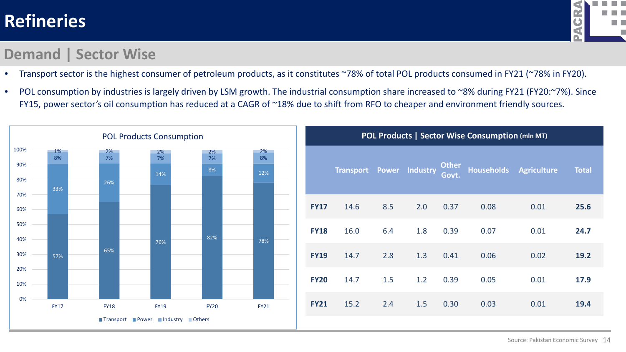

#### **Demand | Sector Wise**

- Transport sector is the highest consumer of petroleum products, as it constitutes ~78% of total POL products consumed in FY21 (~78% in FY20).
- POL consumption by industries is largely driven by LSM growth. The industrial consumption share increased to ~8% during FY21 (FY20:~7%). Since FY15, power sector's oil consumption has reduced at a CAGR of ~18% due to shift from RFO to cheaper and environment friendly sources.

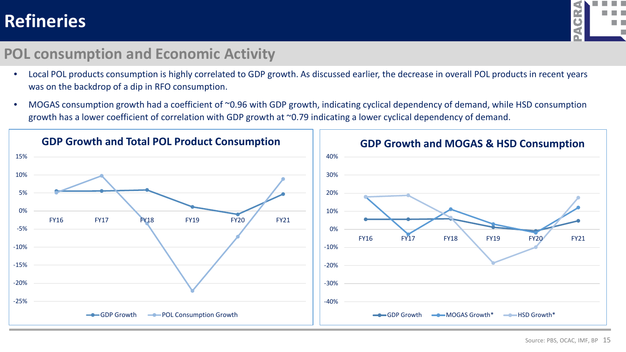

#### **POL consumption and Economic Activity**

- Local POL products consumption is highly correlated to GDP growth. As discussed earlier, the decrease in overall POL products in recent years was on the backdrop of a dip in RFO consumption.
- MOGAS consumption growth had a coefficient of ~0.96 with GDP growth, indicating cyclical dependency of demand, while HSD consumption growth has a lower coefficient of correlation with GDP growth at ~0.79 indicating a lower cyclical dependency of demand.

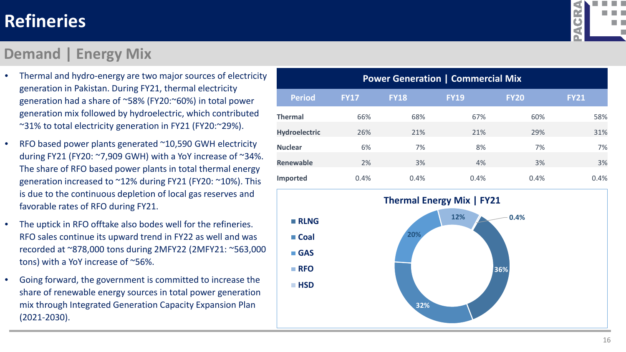#### **Demand | Energy Mix**



- Thermal and hydro-energy are two major sources of electricity generation in Pakistan. During FY21, thermal electricity generation had a share of ~58% (FY20:~60%) in total power generation mix followed by hydroelectric, which contributed ~31% to total electricity generation in FY21 (FY20:~29%).
- RFO based power plants generated ~10,590 GWH electricity during FY21 (FY20: ~7,909 GWH) with a YoY increase of ~34%. The share of RFO based power plants in total thermal energy generation increased to ~12% during FY21 (FY20: ~10%). This is due to the continuous depletion of local gas reserves and favorable rates of RFO during FY21.
- The uptick in RFO offtake also bodes well for the refineries. RFO sales continue its upward trend in FY22 as well and was recorded at ~878,000 tons during 2MFY22 (2MFY21: ~563,000 tons) with a YoY increase of ~56%.
- Going forward, the government is committed to increase the share of renewable energy sources in total power generation mix through Integrated Generation Capacity Expansion Plan (2021-2030).

| <b>Power Generation   Commercial Mix</b> |             |             |             |             |             |  |  |  |  |
|------------------------------------------|-------------|-------------|-------------|-------------|-------------|--|--|--|--|
| <b>Period</b>                            | <b>FY17</b> | <b>FY18</b> | <b>FY19</b> | <b>FY20</b> | <b>FY21</b> |  |  |  |  |
| <b>Thermal</b>                           | 66%         | 68%         | 67%         | 60%         | 58%         |  |  |  |  |
| <b>Hydroelectric</b>                     | 26%         | 21%         | 21%         | 29%         | 31%         |  |  |  |  |
| <b>Nuclear</b>                           | 6%          | 7%          | 8%          | 7%          | 7%          |  |  |  |  |
| <b>Renewable</b>                         | 2%          | 3%          | 4%          | 3%          | 3%          |  |  |  |  |
| <b>Imported</b>                          | 0.4%        | 0.4%        | 0.4%        | 0.4%        | 0.4%        |  |  |  |  |

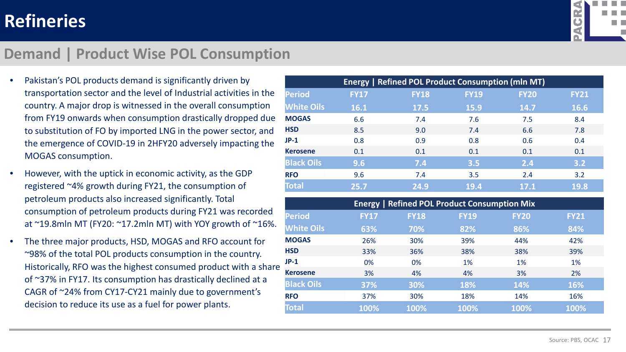

#### **Demand | Product Wise POL Consumption**

- Pakistan's POL products demand is significantly driven by transportation sector and the level of Industrial activities in the country. A major drop is witnessed in the overall consumption from FY19 onwards when consumption drastically dropped due to substitution of FO by imported LNG in the power sector, and the emergence of COVID-19 in 2HFY20 adversely impacting the MOGAS consumption.
- However, with the uptick in economic activity, as the GDP registered ~4% growth during FY21, the consumption of petroleum products also increased significantly. Total consumption of petroleum products during FY21 was recorded at ~19.8mln MT (FY20: ~17.2mln MT) with YOY growth of ~16%.
- The three major products, HSD, MOGAS and RFO account for ~98% of the total POL products consumption in the country. Historically, RFO was the highest consumed product with a share of ~37% in FY17. Its consumption has drastically declined at a CAGR of ~24% from CY17-CY21 mainly due to government's decision to reduce its use as a fuel for power plants.

| <b>Energy   Refined POL Product Consumption (mln MT)</b> |             |             |             |             |             |  |  |  |  |
|----------------------------------------------------------|-------------|-------------|-------------|-------------|-------------|--|--|--|--|
| <b>Period</b>                                            | <b>FY17</b> | <b>FY18</b> | <b>FY19</b> | <b>FY20</b> | <b>FY21</b> |  |  |  |  |
| <b>White Oils</b>                                        | 16.1        | 17.5        | <b>15.9</b> | 14.7        | 16.6        |  |  |  |  |
| <b>MOGAS</b>                                             | 6.6         | 7.4         | 7.6         | 7.5         | 8.4         |  |  |  |  |
| <b>HSD</b>                                               | 8.5         | 9.0         | 7.4         | 6.6         | 7.8         |  |  |  |  |
| $JP-1$                                                   | 0.8         | 0.9         | 0.8         | 0.6         | 0.4         |  |  |  |  |
| <b>Kerosene</b>                                          | 0.1         | 0.1         | 0.1         | 0.1         | 0.1         |  |  |  |  |
| <b>Black Oils</b>                                        | 9.6         | 7.4         | 3.5         | 2.4         | 3.2         |  |  |  |  |
| <b>RFO</b>                                               | 9.6         | 7.4         | 3.5         | 2.4         | 3.2         |  |  |  |  |
| <b>Total</b>                                             | 25.7        | 24.9        | 19.4        | 17.1        | 19.8        |  |  |  |  |

| <b>Energy   Refined POL Product Consumption Mix</b> |             |             |             |             |             |  |  |  |
|-----------------------------------------------------|-------------|-------------|-------------|-------------|-------------|--|--|--|
| <b>Period</b>                                       | <b>FY17</b> | <b>FY18</b> | <b>FY19</b> | <b>FY20</b> | <b>FY21</b> |  |  |  |
| <b>White Oils</b>                                   | 63%         | 70%         | 82%         | 86%         | 84%         |  |  |  |
| <b>MOGAS</b>                                        | 26%         | 30%         | 39%         | 44%         | 42%         |  |  |  |
| <b>HSD</b>                                          | 33%         | 36%         | 38%         | 38%         | 39%         |  |  |  |
| $JP-1$                                              | 0%          | 0%          | 1%          | 1%          | 1%          |  |  |  |
| <b>Kerosene</b>                                     | 3%          | 4%          | 4%          | 3%          | 2%          |  |  |  |
| <b>Black Oils</b>                                   | 37%         | 30%         | 18%         | 14%         | 16%         |  |  |  |
| <b>RFO</b>                                          | 37%         | 30%         | 18%         | 14%         | 16%         |  |  |  |
| <b>Total</b>                                        | 100%        | 100%        | 100%        | 100%        | 100%        |  |  |  |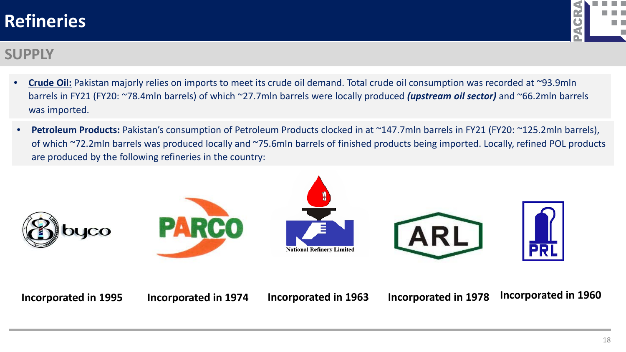

#### **SUPPLY**

- **Crude Oil:** Pakistan majorly relies on imports to meet its crude oil demand. Total crude oil consumption was recorded at ~93.9mln barrels in FY21 (FY20: ~78.4mln barrels) of which ~27.7mln barrels were locally produced *(upstream oil sector)* and ~66.2mln barrels was imported.
- **Petroleum Products:** Pakistan's consumption of Petroleum Products clocked in at ~147.7mln barrels in FY21 (FY20: ~125.2mln barrels), of which ~72.2mln barrels was produced locally and ~75.6mln barrels of finished products being imported. Locally, refined POL products are produced by the following refineries in the country:



**Incorporated in 1995 Incorporated in 1974 Incorporated in 1963 Incorporated in 1978 Incorporated in 1960**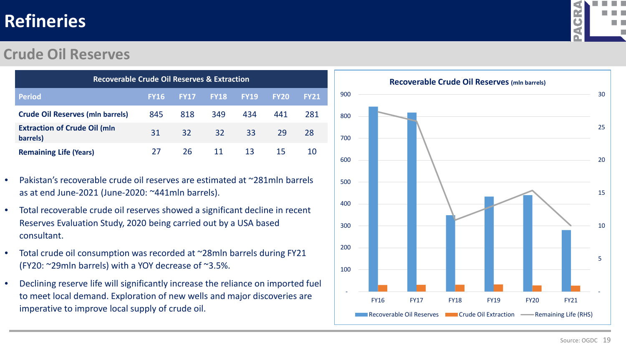#### **Crude Oil Reserves**

| <b>Recoverable Crude Oil Reserves &amp; Extraction</b> |             |             |                 |             |             |             |  |  |
|--------------------------------------------------------|-------------|-------------|-----------------|-------------|-------------|-------------|--|--|
| <b>Period</b>                                          | <b>FY16</b> | <b>FY17</b> | <b>FY18</b>     | <b>FY19</b> | <b>FY20</b> | <b>FY21</b> |  |  |
| <b>Crude Oil Reserves (mln barrels)</b>                | 845         | 818         | 349             | 434         | 441         | 281         |  |  |
| <b>Extraction of Crude Oil (mln</b><br>barrels)        | 31          | 32          | 32 <sup>2</sup> | 33          | 29          | 28          |  |  |
| <b>Remaining Life (Years)</b>                          | 27          | 26.         |                 | -13         | 15          | 10          |  |  |

- Pakistan's recoverable crude oil reserves are estimated at ~281mln barrels as at end June-2021 (June-2020: ~441mln barrels).
- Total recoverable crude oil reserves showed a significant decline in recent Reserves Evaluation Study, 2020 being carried out by a USA based consultant.
- Total crude oil consumption was recorded at ~28mln barrels during FY21 (FY20: ~29mln barrels) with a YOY decrease of ~3.5%.
- Declining reserve life will significantly increase the reliance on imported fuel to meet local demand. Exploration of new wells and major discoveries are imperative to improve local supply of crude oil.



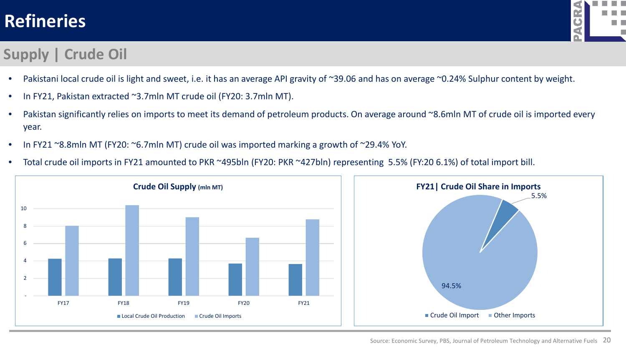### **Supply | Crude Oil**



- Pakistani local crude oil is light and sweet, i.e. it has an average API gravity of ~39.06 and has on average ~0.24% Sulphur content by weight.
- In FY21, Pakistan extracted ~3.7mln MT crude oil (FY20: 3.7mln MT).
- Pakistan significantly relies on imports to meet its demand of petroleum products. On average around ~8.6mln MT of crude oil is imported every year.
- In FY21 ~8.8mln MT (FY20: ~6.7mln MT) crude oil was imported marking a growth of ~29.4% YoY.
- Total crude oil imports in FY21 amounted to PKR ~495bln (FY20: PKR ~427bln) representing 5.5% (FY:20 6.1%) of total import bill.

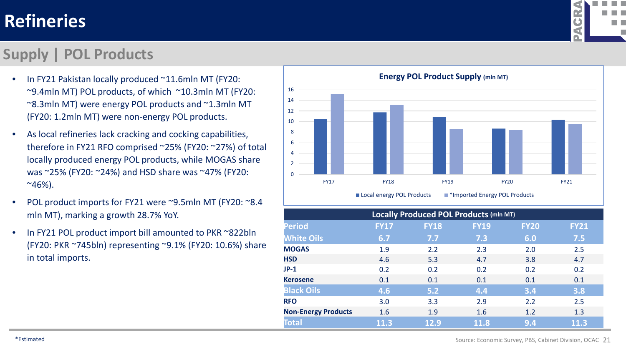#### **Supply | POL Products**

- In FY21 Pakistan locally produced ~11.6mln MT (FY20: ~9.4mln MT) POL products, of which ~10.3mln MT (FY20: ~8.3mln MT) were energy POL products and ~1.3mln MT (FY20: 1.2mln MT) were non-energy POL products.
- As local refineries lack cracking and cocking capabilities, therefore in FY21 RFO comprised ~25% (FY20: ~27%) of total locally produced energy POL products, while MOGAS share was ~25% (FY20: ~24%) and HSD share was ~47% (FY20:  $~846\%$ ).
- POL product imports for FY21 were ~9.5mln MT (FY20: ~8.4) mln MT), marking a growth 28.7% YoY.
- In FY21 POL product import bill amounted to PKR ~822bln (FY20: PKR ~745bln) representing ~9.1% (FY20: 10.6%) share in total imports.



| <b>Locally Produced POL Products (mln MT)</b> |             |             |             |             |             |  |  |  |  |  |
|-----------------------------------------------|-------------|-------------|-------------|-------------|-------------|--|--|--|--|--|
| <b>Period</b>                                 | <b>FY17</b> | <b>FY18</b> | <b>FY19</b> | <b>FY20</b> | <b>FY21</b> |  |  |  |  |  |
| <b>White Oils</b>                             | 6.7         | 7.7         | 7.3         | 6.0         | 7.5         |  |  |  |  |  |
| <b>MOGAS</b>                                  | 1.9         | 2.2         | 2.3         | 2.0         | 2.5         |  |  |  |  |  |
| <b>HSD</b>                                    | 4.6         | 5.3         | 4.7         | 3.8         | 4.7         |  |  |  |  |  |
| $JP-1$                                        | 0.2         | 0.2         | 0.2         | 0.2         | 0.2         |  |  |  |  |  |
| <b>Kerosene</b>                               | 0.1         | 0.1         | 0.1         | 0.1         | 0.1         |  |  |  |  |  |
| <b>Black Oils</b>                             | 4.6         | 5.2         | 4.4         | 3.4         | 3.8         |  |  |  |  |  |
| <b>RFO</b>                                    | 3.0         | 3.3         | 2.9         | 2.2         | 2.5         |  |  |  |  |  |
| <b>Non-Energy Products</b>                    | 1.6         | 1.9         | 1.6         | 1.2         | 1.3         |  |  |  |  |  |
| <b>Total</b>                                  | 11.3        | 12.9        | 11.8        | 9.4         | 11.3        |  |  |  |  |  |



Source: Economic Survey, PBS, Cabinet Division, OCAC 21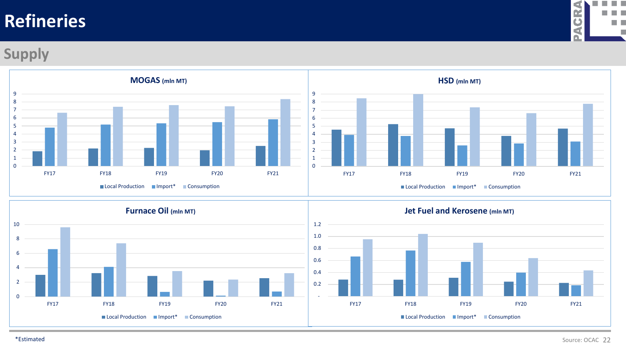

#### **Supply**



 - 0.2

 0.6 0.8



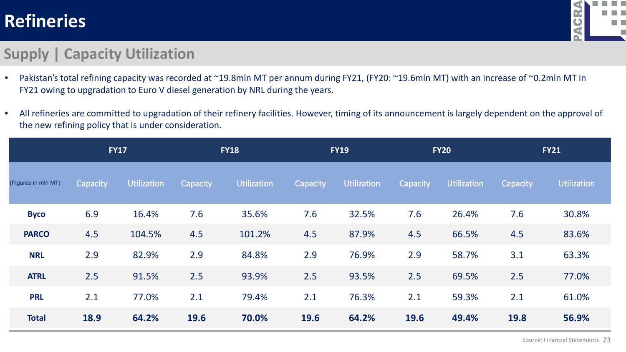

#### **Supply | Capacity Utilization**

- Pakistan's total refining capacity was recorded at ~19.8mln MT per annum during FY21, (FY20: ~19.6mln MT) with an increase of ~0.2mln MT in FY21 owing to upgradation to Euro V diesel generation by NRL during the years.
- All refineries are committed to upgradation of their refinery facilities. However, timing of its announcement is largely dependent on the approval of the new refining policy that is under consideration.

|                     | <b>FY17</b> |             |          | <b>FY18</b>        |             | <b>FY19</b>        |          | <b>FY20</b>        |          | <b>FY21</b> |
|---------------------|-------------|-------------|----------|--------------------|-------------|--------------------|----------|--------------------|----------|-------------|
| (Figures in mln MT) | Capacity    | Utilization | Capacity | <b>Utilization</b> | Capacity    | <b>Utilization</b> | Capacity | <b>Utilization</b> | Capacity | Utilization |
| <b>Byco</b>         | 6.9         | 16.4%       | 7.6      | 35.6%              | 7.6         | 32.5%              | 7.6      | 26.4%              | 7.6      | 30.8%       |
| <b>PARCO</b>        | 4.5         | 104.5%      | 4.5      | 101.2%             | 4.5         | 87.9%              | 4.5      | 66.5%              | 4.5      | 83.6%       |
| <b>NRL</b>          | 2.9         | 82.9%       | 2.9      | 84.8%              | 2.9         | 76.9%              | 2.9      | 58.7%              | 3.1      | 63.3%       |
| <b>ATRL</b>         | 2.5         | 91.5%       | 2.5      | 93.9%              | 2.5         | 93.5%              | 2.5      | 69.5%              | 2.5      | 77.0%       |
| <b>PRL</b>          | 2.1         | 77.0%       | 2.1      | 79.4%              | 2.1         | 76.3%              | 2.1      | 59.3%              | 2.1      | 61.0%       |
| <b>Total</b>        | 18.9        | 64.2%       | 19.6     | 70.0%              | <b>19.6</b> | 64.2%              | 19.6     | 49.4%              | 19.8     | 56.9%       |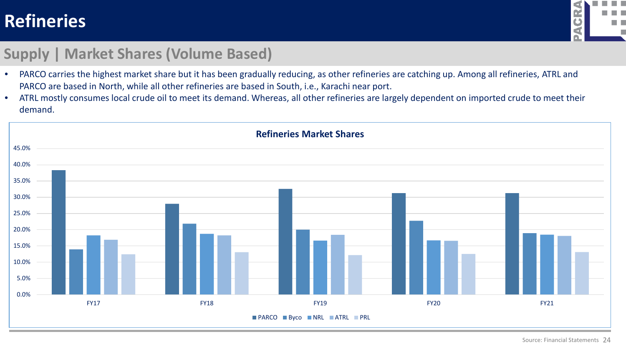

#### **Supply | Market Shares (Volume Based)**

- PARCO carries the highest market share but it has been gradually reducing, as other refineries are catching up. Among all refineries, ATRL and PARCO are based in North, while all other refineries are based in South, i.e., Karachi near port.
- ATRL mostly consumes local crude oil to meet its demand. Whereas, all other refineries are largely dependent on imported crude to meet their demand.

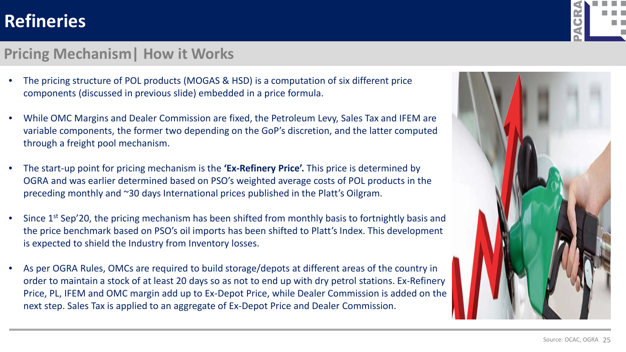#### **Pricing Mechanism| How it Works**

- The pricing structure of POL products (MOGAS & HSD) is a computation of six different price components (discussed in previous slide) embedded in a price formula.
- While OMC Margins and Dealer Commission are fixed, the Petroleum Levy, Sales Tax and IFEM are variable components, the former two depending on the GoP's discretion, and the latter computed through a freight pool mechanism.
- The start-up point for pricing mechanism is the **'Ex-Refinery Price'.** This price is determined by OGRA and was earlier determined based on PSO's weighted average costs of POL products in the preceding monthly and ~30 days International prices published in the Platt's Oilgram.
- Since 1<sup>st</sup> Sep'20, the pricing mechanism has been shifted from monthly basis to fortnightly basis and the price benchmark based on PSO's oil imports has been shifted to Platt's Index. This development is expected to shield the Industry from Inventory losses.
- As per OGRA Rules, OMCs are required to build storage/depots at different areas of the country in order to maintain a stock of at least 20 days so as not to end up with dry petrol stations. Ex-Refinery Price, PL, IFEM and OMC margin add up to Ex-Depot Price, while Dealer Commission is added on the next step. Sales Tax is applied to an aggregate of Ex-Depot Price and Dealer Commission.



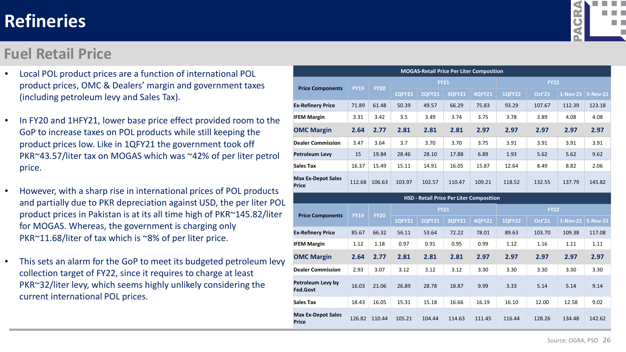#### **Fuel Retail Price**

- Local POL product prices are a function of international POL product prices, OMC & Dealers' margin and government taxes (including petroleum levy and Sales Tax).
- In FY20 and 1HFY21, lower base price effect provided room to the GoP to increase taxes on POL products while still keeping the product prices low. Like in 1QFY21 the government took off PKR~43.57/liter tax on MOGAS which was ~42% of per liter petrol price.
- However, with a sharp rise in international prices of POL products and partially due to PKR depreciation against USD, the per liter POL product prices in Pakistan is at its all time high of PKR~145.82/liter for MOGAS. Whereas, the government is charging only PKR~11.68/liter of tax which is ~8% of per liter price.
- This sets an alarm for the GoP to meet its budgeted petroleum levy collection target of FY22, since it requires to charge at least PKR~32/liter levy, which seems highly unlikely considering the current international POL prices.

| <b>MOGAS-Retail Price Per Liter Composition</b> |                                          |             |               |               |               |               |               |               |            |                 |
|-------------------------------------------------|------------------------------------------|-------------|---------------|---------------|---------------|---------------|---------------|---------------|------------|-----------------|
| <b>Price Components</b>                         | <b>FY19</b>                              | <b>FY20</b> | <b>FY21</b>   |               |               |               | <b>FY22</b>   |               |            |                 |
|                                                 |                                          |             | <b>1QFY21</b> | <b>2QFY21</b> | <b>3QFY21</b> | <b>4QFY21</b> | <b>1QFY22</b> | <b>Oct'21</b> | $1-Nov-21$ | 5-Nov-21        |
| <b>Ex-Refinery Price</b>                        | 71.89                                    | 61.48       | 50.39         | 49.57         | 66.29         | 75.83         | 93.29         | 107.67        | 112.39     | 123.18          |
| <b>IFEM Margin</b>                              | 3.31                                     | 3.42        | 3.5           | 3.49          | 3.74          | 3.75          | 3.78          | 3.89          | 4.08       | 4.08            |
| <b>OMC Margin</b>                               | 2.64                                     | 2.77        | 2.81          | 2.81          | 2.81          | 2.97          | 2.97          | 2.97          | 2.97       | 2.97            |
| <b>Dealer Commission</b>                        | 3.47                                     | 3.64        | 3.7           | 3.70          | 3.70          | 3.75          | 3.91          | 3.91          | 3.91       | 3.91            |
| <b>Petroleum Levy</b>                           | 15                                       | 19.84       | 28.46         | 28.10         | 17.88         | 6.89          | 1.93          | 5.62          | 5.62       | 9.62            |
| Sales Tax                                       | 16.37                                    | 15.49       | 15.11         | 14.91         | 16.05         | 15.87         | 12.64         | 8.49          | 8.82       | 2.06            |
| <b>Max Ex-Depot Sales</b><br><b>Price</b>       | 112.68                                   | 106.63      | 103.97        | 102.57        | 110.47        | 109.21        | 118.52        | 132.55        | 137.79     | 145.82          |
|                                                 | HSD - Retail Price Per Liter Composition |             |               |               |               |               |               |               |            |                 |
| <b>Price Components</b>                         | <b>FY19</b>                              | <b>FY20</b> | <b>FY21</b>   |               |               | <b>FY22</b>   |               |               |            |                 |
|                                                 |                                          |             | <b>1QFY21</b> | <b>2QFY21</b> | <b>3QFY21</b> | <b>4QFY21</b> | <b>1QFY22</b> | <b>Oct'21</b> | $1-Nov-21$ | <b>5-Nov-21</b> |
| <b>Ex-Refinery Price</b>                        | 85.67                                    | 66.32       | 56.11         | 53.64         | 72.22         | 78.01         | 89.63         | 103.70        | 109.38     | 117.08          |
| <b>IFEM Margin</b>                              | 1.12                                     | 1.18        | 0.97          | 0.91          | 0.95          | 0.99          | 1.12          | 1.16          | 1.11       | 1.11            |
| <b>OMC Margin</b>                               | 2.64                                     | 2.77        | 2.81          | 2.81          | 2.81          | 2.97          | 2.97          | 2.97          | 2.97       | 2.97            |
| <b>Dealer Commission</b>                        | 2.93                                     | 3.07        | 3.12          | 3.12          | 3.12          | 3.30          | 3.30          | 3.30          | 3.30       | 3.30            |
| Petroleum Levy by<br><b>Fed.Govt</b>            | 16.03                                    | 21.06       | 26.89         | 28.78         | 18.87         | 9.99          | 3.33          | 5.14          | 5.14       | 9.14            |
| <b>Sales Tax</b>                                | 18.43                                    | 16.05       | 15.31         | 15.18         | 16.66         | 16.19         | 16.10         | 12.00         | 12.58      | 9.02            |
| <b>Max Ex-Depot Sales</b>                       |                                          |             |               |               |               |               |               |               |            |                 |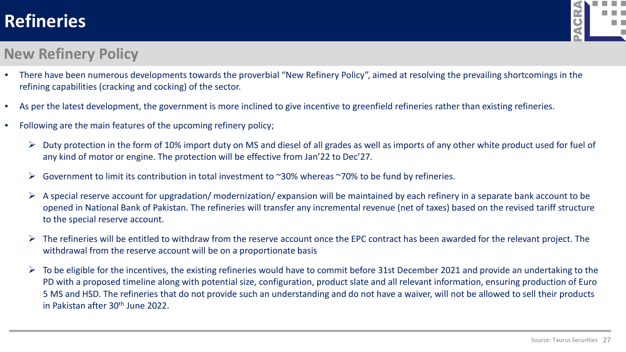

#### **New Refinery Policy**

- There have been numerous developments towards the proverbial "New Refinery Policy", aimed at resolving the prevailing shortcomings in the refining capabilities (cracking and cocking) of the sector.
- As per the latest development, the government is more inclined to give incentive to greenfield refineries rather than existing refineries.
- Following are the main features of the upcoming refinery policy;
	- $\triangleright$  Duty protection in the form of 10% import duty on MS and diesel of all grades as well as imports of any other white product used for fuel of any kind of motor or engine. The protection will be effective from Jan'22 to Dec'27.
	- $\triangleright$  Government to limit its contribution in total investment to ~30% whereas ~70% to be fund by refineries.
	- $\triangleright$  A special reserve account for upgradation/ modernization/ expansion will be maintained by each refinery in a separate bank account to be opened in National Bank of Pakistan. The refineries will transfer any incremental revenue (net of taxes) based on the revised tariff structure to the special reserve account.
	- $\triangleright$  The refineries will be entitled to withdraw from the reserve account once the EPC contract has been awarded for the relevant project. The withdrawal from the reserve account will be on a proportionate basis
	- $\triangleright$  To be eligible for the incentives, the existing refineries would have to commit before 31st December 2021 and provide an undertaking to the PD with a proposed timeline along with potential size, configuration, product slate and all relevant information, ensuring production of Euro 5 MS and HSD. The refineries that do not provide such an understanding and do not have a waiver, will not be allowed to sell their products in Pakistan after 30th June 2022.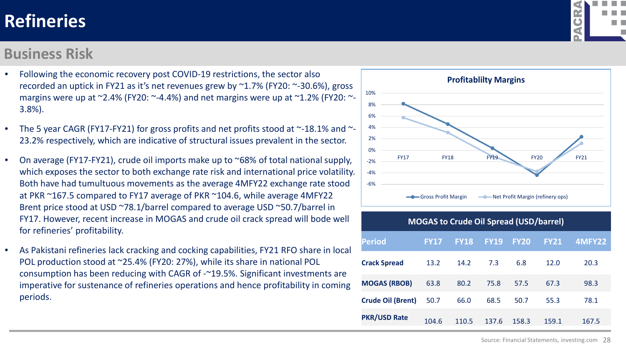#### **Business Risk**

- Following the economic recovery post COVID-19 restrictions, the sector also recorded an uptick in FY21 as it's net revenues grew by ~1.7% (FY20: ~-30.6%), gross margins were up at  $\approx$  2.4% (FY20:  $\sim$ -4.4%) and net margins were up at  $\sim$ 1.2% (FY20:  $\sim$ -3.8%).
- The 5 year CAGR (FY17-FY21) for gross profits and net profits stood at  $\sim$ -18.1% and  $\sim$ -23.2% respectively, which are indicative of structural issues prevalent in the sector.
- On average (FY17-FY21), crude oil imports make up to ~68% of total national supply, which exposes the sector to both exchange rate risk and international price volatility. Both have had tumultuous movements as the average 4MFY22 exchange rate stood at PKR ~167.5 compared to FY17 average of PKR ~104.6, while average 4MFY22 Brent price stood at USD ~78.1/barrel compared to average USD ~50.7/barrel in FY17. However, recent increase in MOGAS and crude oil crack spread will bode well for refineries' profitability.
- As Pakistani refineries lack cracking and cocking capabilities, FY21 RFO share in local POL production stood at ~25.4% (FY20: 27%), while its share in national POL consumption has been reducing with CAGR of -~19.5%. Significant investments are imperative for sustenance of refineries operations and hence profitability in coming periods.



| <b>MOGAS to Crude Oil Spread (USD/barrel)</b> |             |             |             |             |             |        |
|-----------------------------------------------|-------------|-------------|-------------|-------------|-------------|--------|
| <b>Period</b>                                 | <b>FY17</b> | <b>FY18</b> | <b>FY19</b> | <b>FY20</b> | <b>FY21</b> | 4MFY22 |
| <b>Crack Spread</b>                           | 13.2        | 14.2        | 7.3         | 6.8         | 12.0        | 20.3   |
| <b>MOGAS (RBOB)</b>                           | 63.8        | 80.2        | 75.8        | 57.5        | 67.3        | 98.3   |
| <b>Crude Oil (Brent)</b>                      | 50.7        | 66.0        | 68.5        | 50.7        | 55.3        | 78.1   |
| <b>PKR/USD Rate</b>                           | 104.6       | 110.5       | 137.6       | 158.3       | 159.1       | 167.5  |

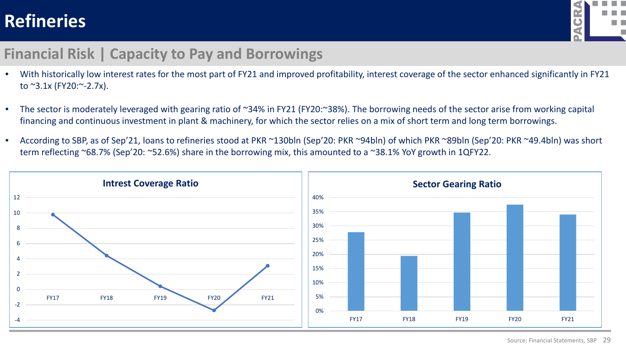

#### **Financial Risk | Capacity to Pay and Borrowings**

- With historically low interest rates for the most part of FY21 and improved profitability, interest coverage of the sector enhanced significantly in FY21 to  $^{\sim}3.1x$  (FY20: $^{\sim}$ -2.7x).
- The sector is moderately leveraged with gearing ratio of ~34% in FY21 (FY20:~38%). The borrowing needs of the sector arise from working capital financing and continuous investment in plant & machinery, for which the sector relies on a mix of short term and long term borrowings.
- According to SBP, as of Sep'21, loans to refineries stood at PKR ~130bln (Sep'20: PKR ~94bln) of which PKR ~89bln (Sep'20: PKR ~49.4bln) was short term reflecting ~68.7% (Sep'20: ~52.6%) share in the borrowing mix, this amounted to a ~38.1% YoY growth in 1QFY22.

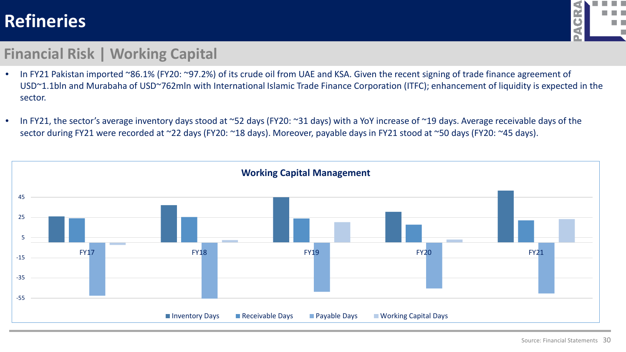

#### **Financial Risk | Working Capital**

- In FY21 Pakistan imported ~86.1% (FY20: ~97.2%) of its crude oil from UAE and KSA. Given the recent signing of trade finance agreement of USD~1.1bln and Murabaha of USD~762mln with International Islamic Trade Finance Corporation (ITFC); enhancement of liquidity is expected in the sector.
- In FY21, the sector's average inventory days stood at ~52 days (FY20: ~31 days) with a YoY increase of ~19 days. Average receivable days of the sector during FY21 were recorded at ~22 days (FY20: ~18 days). Moreover, payable days in FY21 stood at ~50 days (FY20: ~45 days).

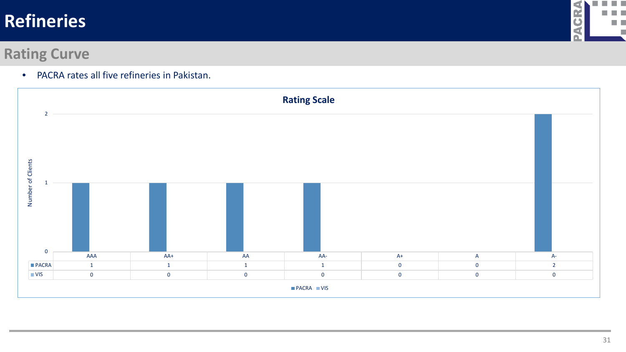

#### **Rating Curve**

• PACRA rates all five refineries in Pakistan.

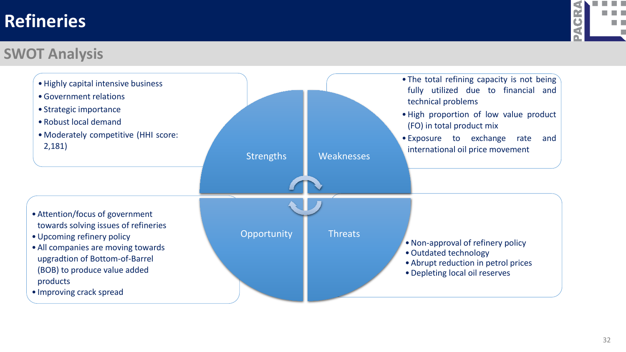

#### **SWOT Analysis**

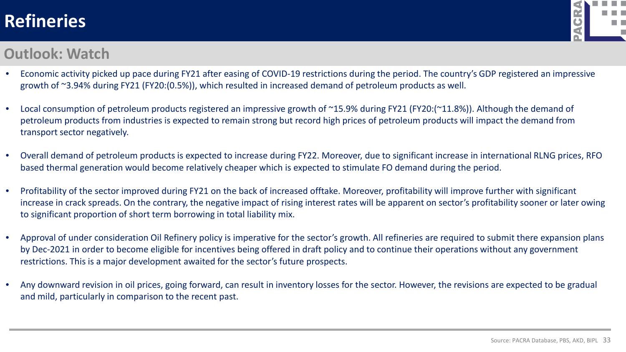

#### **Outlook: Watch**

- Economic activity picked up pace during FY21 after easing of COVID-19 restrictions during the period. The country's GDP registered an impressive growth of ~3.94% during FY21 (FY20:(0.5%)), which resulted in increased demand of petroleum products as well.
- Local consumption of petroleum products registered an impressive growth of ~15.9% during FY21 (FY20:(~11.8%)). Although the demand of petroleum products from industries is expected to remain strong but record high prices of petroleum products will impact the demand from transport sector negatively.
- Overall demand of petroleum products is expected to increase during FY22. Moreover, due to significant increase in international RLNG prices, RFO based thermal generation would become relatively cheaper which is expected to stimulate FO demand during the period.
- Profitability of the sector improved during FY21 on the back of increased offtake. Moreover, profitability will improve further with significant increase in crack spreads. On the contrary, the negative impact of rising interest rates will be apparent on sector's profitability sooner or later owing to significant proportion of short term borrowing in total liability mix.
- Approval of under consideration Oil Refinery policy is imperative for the sector's growth. All refineries are required to submit there expansion plans by Dec-2021 in order to become eligible for incentives being offered in draft policy and to continue their operations without any government restrictions. This is a major development awaited for the sector's future prospects.
- Any downward revision in oil prices, going forward, can result in inventory losses for the sector. However, the revisions are expected to be gradual and mild, particularly in comparison to the recent past.